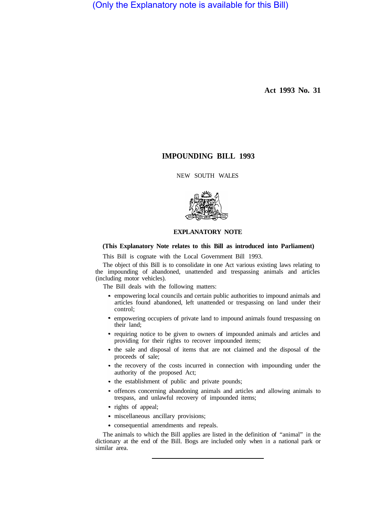(Only the Explanatory note is available for this Bill)

**Act 1993 No. 31** 

# **IMPOUNDING BILL 1993**

NEW SOUTH WALES



# **EXPLANATORY NOTE**

# **(This Explanatory Note relates to this Bill as introduced into Parliament)**

This Bill is cognate with the Local Government Bill 1993.

The object of this Bill is to consolidate in one Act various existing laws relating to the impounding of abandoned, unattended and trespassing animals and articles (including motor vehicles).

The Bill deals with the following matters:

- empowering local councils and certain public authorities to impound animals and articles found abandoned, left unattended or trespassing on land under their control;
- empowering occupiers of private land to impound animals found trespassing on  $\bullet$ their land;
- requiring notice to be given to owners of impounded animals and articles and providing for their rights to recover impounded items;
- the sale and disposal of items that are not claimed and the disposal of the proceeds of sale;
- the recovery of the costs incurred in connection with impounding under the authority of the proposed Act;
- the establishment of public and private pounds;
- offences concerning abandoning animals and articles and allowing animals to trespass, and unlawful recovery of impounded items;
- rights of appeal;
- miscellaneous ancillary provisions;
- consequential amendments and repeals.

The animals to which the Bill applies are listed in the definition of "animal" in the dictionary at the end of the Bill. Bogs are included only when in a national park or similar area.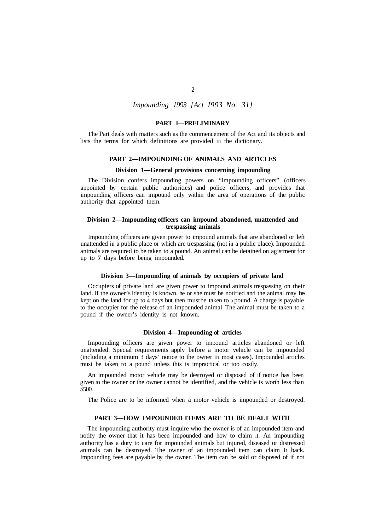# *Impounding 1993 [Act I993 No. 31]*

#### **PART l—PRELIMINARY**

The Part deals with matters such as the commencement of the Act and its objects and lists the terms for which definitions are provided in the dictionary.

#### **PART 2—IMPOUNDING OF ANIMALS AND ARTICLES**

# **Division 1—General provisions concerning impounding**

The Division confers impounding powers on "impounding officers" (officers appointed by certain public authorities) and police officers, and provides that impounding officers can impound only within the area of operations of the public authority that appointed them.

#### **Division 2—Impounding officers can impound abandoned, unattended and trespassing animals**

Impounding officers are given power to impound animals that are abandoned or left unattended in a public place or which are trespassing (not in a public place). Impounded animals are required to be taken to a pound. An animal can be detained on agistment for up to **7** days before being impounded.

### **Division 3—Impounding of animals by occupiers of private land**

Occupiers of private land are given power to impound animals trespassing on their land. If the owner's identity is known, he or she must be notified and the animal may be kept on the land for up to 4 days but then must be taken to a pound. A charge is payable to the occupier for the release of an impounded animal. The animal must be taken to a pound if the owner's identity is not known.

#### **Division 4—Impounding of articles**

Impounding officers are given power to impound articles abandoned or left unattended. Special requirements apply before a motor vehicle can be impounded (including a minimum 3 days' notice to the owner in most cases). Impounded articles must be taken to a pound unless this is impractical or too costly.

An impounded motor vehicle may be destroyed or disposed of if notice has been given to the owner or the owner cannot be identified, and the vehicle is worth less than \$500.

The Police are to be informed when a motor vehicle is impounded or destroyed.

### **PART 3—HOW IMPOUNDED ITEMS ARE TO BE DEALT WITH**

The impounding authority must inquire who the owner is of an impounded item and notify the owner that it has been impounded and how to claim it. An impounding authority has a duty to care for impounded animals but injured, diseased or distressed animals can be destroyed. The owner of an impounded item can claim it back. Impounding fees are payable by the owner. The item can be sold or disposed of if not